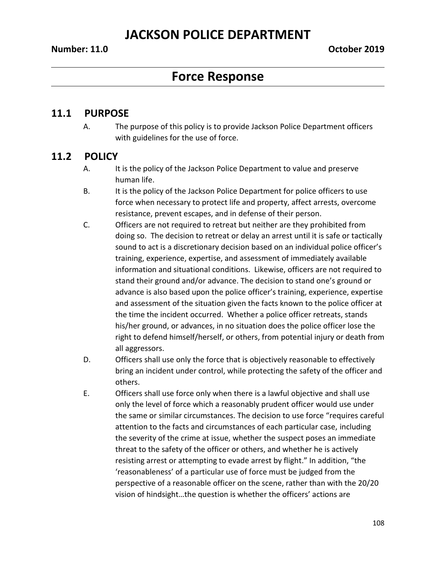# **Force Response**

#### **11.1 PURPOSE**

A. The purpose of this policy is to provide Jackson Police Department officers with guidelines for the use of force.

### **11.2 POLICY**

- A. It is the policy of the Jackson Police Department to value and preserve human life.
- B. It is the policy of the Jackson Police Department for police officers to use force when necessary to protect life and property, affect arrests, overcome resistance, prevent escapes, and in defense of their person.
- C. Officers are not required to retreat but neither are they prohibited from doing so. The decision to retreat or delay an arrest until it is safe or tactically sound to act is a discretionary decision based on an individual police officer's training, experience, expertise, and assessment of immediately available information and situational conditions. Likewise, officers are not required to stand their ground and/or advance. The decision to stand one's ground or advance is also based upon the police officer's training, experience, expertise and assessment of the situation given the facts known to the police officer at the time the incident occurred. Whether a police officer retreats, stands his/her ground, or advances, in no situation does the police officer lose the right to defend himself/herself, or others, from potential injury or death from all aggressors.
- D. Officers shall use only the force that is objectively reasonable to effectively bring an incident under control, while protecting the safety of the officer and others.
- E. Officers shall use force only when there is a lawful objective and shall use only the level of force which a reasonably prudent officer would use under the same or similar circumstances. The decision to use force "requires careful attention to the facts and circumstances of each particular case, including the severity of the crime at issue, whether the suspect poses an immediate threat to the safety of the officer or others, and whether he is actively resisting arrest or attempting to evade arrest by flight." In addition, "the 'reasonableness' of a particular use of force must be judged from the perspective of a reasonable officer on the scene, rather than with the 20/20 vision of hindsight…the question is whether the officers' actions are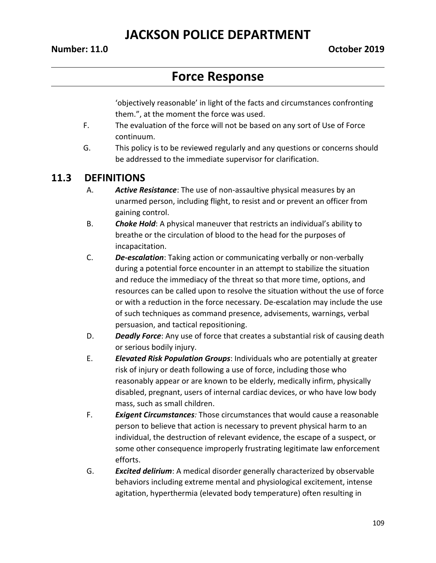#### **Number: 11.0 October 2019**

## **Force Response**

'objectively reasonable' in light of the facts and circumstances confronting them.", at the moment the force was used.

- F. The evaluation of the force will not be based on any sort of Use of Force continuum.
- G. This policy is to be reviewed regularly and any questions or concerns should be addressed to the immediate supervisor for clarification.

#### **11.3 DEFINITIONS**

- A. *Active Resistance*: The use of non-assaultive physical measures by an unarmed person, including flight, to resist and or prevent an officer from gaining control.
- B. *Choke Hold*: A physical maneuver that restricts an individual's ability to breathe or the circulation of blood to the head for the purposes of incapacitation.
- C. *De***-***escalation*: Taking action or communicating verbally or non-verbally during a potential force encounter in an attempt to stabilize the situation and reduce the immediacy of the threat so that more time, options, and resources can be called upon to resolve the situation without the use of force or with a reduction in the force necessary. De-escalation may include the use of such techniques as command presence, advisements, warnings, verbal persuasion, and tactical repositioning.
- D. *Deadly Force*: Any use of force that creates a substantial risk of causing death or serious bodily injury.
- E. *Elevated Risk Population Groups*: Individuals who are potentially at greater risk of injury or death following a use of force, including those who reasonably appear or are known to be elderly, medically infirm, physically disabled, pregnant, users of internal cardiac devices, or who have low body mass, such as small children.
- F. *Exigent Circumstances:* Those circumstances that would cause a reasonable person to believe that action is necessary to prevent physical harm to an individual, the destruction of relevant evidence, the escape of a suspect, or some other consequence improperly frustrating legitimate law enforcement efforts.
- G. *Excited delirium*: A medical disorder generally characterized by observable behaviors including extreme mental and physiological excitement, intense agitation, hyperthermia (elevated body temperature) often resulting in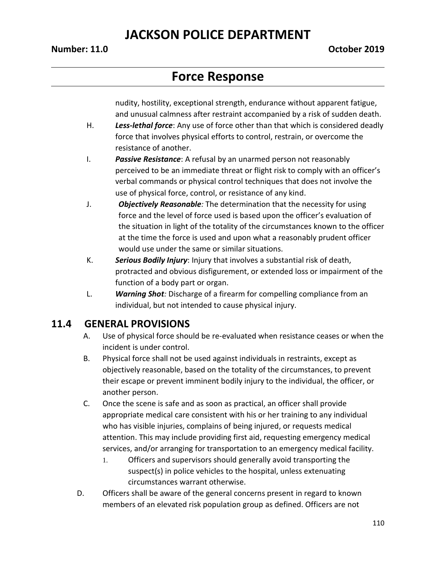#### **Number: 11.0 October 2019**

## **Force Response**

nudity, hostility, exceptional strength, endurance without apparent fatigue, and unusual calmness after restraint accompanied by a risk of sudden death.

- H. *Less-lethal force*: Any use of force other than that which is considered deadly force that involves physical efforts to control, restrain, or overcome the resistance of another.
- I. *Passive Resistance*: A refusal by an unarmed person not reasonably perceived to be an immediate threat or flight risk to comply with an officer's verbal commands or physical control techniques that does not involve the use of physical force, control, or resistance of any kind.
- J. *Objectively Reasonable:* The determination that the necessity for using force and the level of force used is based upon the officer's evaluation of the situation in light of the totality of the circumstances known to the officer at the time the force is used and upon what a reasonably prudent officer would use under the same or similar situations.
- K. *Serious Bodily Injury*: Injury that involves a substantial risk of death, protracted and obvious disfigurement, or extended loss or impairment of the function of a body part or organ.
- L. *Warning Shot:* Discharge of a firearm for compelling compliance from an individual, but not intended to cause physical injury.

#### **11.4 GENERAL PROVISIONS**

- A. Use of physical force should be re-evaluated when resistance ceases or when the incident is under control.
- B. Physical force shall not be used against individuals in restraints, except as objectively reasonable, based on the totality of the circumstances, to prevent their escape or prevent imminent bodily injury to the individual, the officer, or another person.
- C. Once the scene is safe and as soon as practical, an officer shall provide appropriate medical care consistent with his or her training to any individual who has visible injuries, complains of being injured, or requests medical attention. This may include providing first aid, requesting emergency medical services, and/or arranging for transportation to an emergency medical facility.
	- 1. Officers and supervisors should generally avoid transporting the suspect(s) in police vehicles to the hospital, unless extenuating circumstances warrant otherwise.
- D. Officers shall be aware of the general concerns present in regard to known members of an elevated risk population group as defined. Officers are not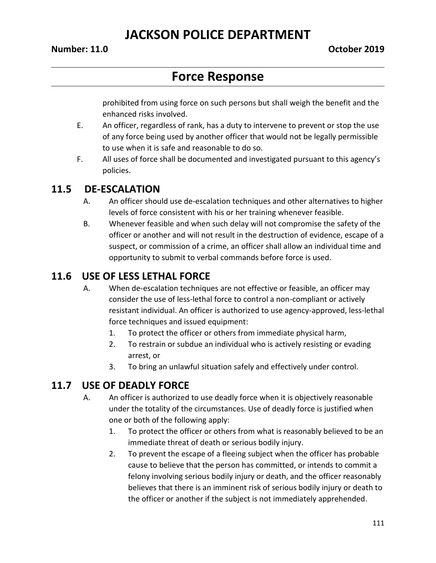#### **Number: 11.0 October 2019**

## **Force Response**

prohibited from using force on such persons but shall weigh the benefit and the enhanced risks involved.

- E. An officer, regardless of rank, has a duty to intervene to prevent or stop the use of any force being used by another officer that would not be legally permissible to use when it is safe and reasonable to do so.
- F. All uses of force shall be documented and investigated pursuant to this agency's policies.

#### **11.5 DE-ESCALATION**

- A. An officer should use de-escalation techniques and other alternatives to higher levels of force consistent with his or her training whenever feasible.
- B. Whenever feasible and when such delay will not compromise the safety of the officer or another and will not result in the destruction of evidence, escape of a suspect, or commission of a crime, an officer shall allow an individual time and opportunity to submit to verbal commands before force is used.

### **11.6 USE OF LESS LETHAL FORCE**

- A. When de-escalation techniques are not effective or feasible, an officer may consider the use of less-lethal force to control a non-compliant or actively resistant individual. An officer is authorized to use agency-approved, less-lethal force techniques and issued equipment:
	- 1. To protect the officer or others from immediate physical harm,
	- 2. To restrain or subdue an individual who is actively resisting or evading arrest, or
	- 3. To bring an unlawful situation safely and effectively under control.

### **11.7 USE OF DEADLY FORCE**

- A. An officer is authorized to use deadly force when it is objectively reasonable under the totality of the circumstances. Use of deadly force is justified when one or both of the following apply:
	- 1. To protect the officer or others from what is reasonably believed to be an immediate threat of death or serious bodily injury.
	- 2. To prevent the escape of a fleeing subject when the officer has probable cause to believe that the person has committed, or intends to commit a felony involving serious bodily injury or death, and the officer reasonably believes that there is an imminent risk of serious bodily injury or death to the officer or another if the subject is not immediately apprehended.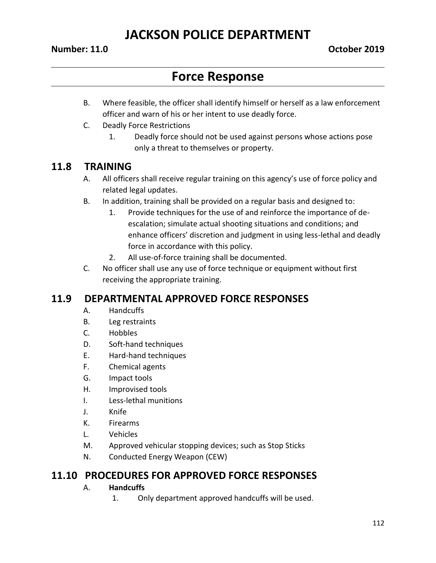#### **Number: 11.0 October 2019**

## **Force Response**

- B. Where feasible, the officer shall identify himself or herself as a law enforcement officer and warn of his or her intent to use deadly force.
- C. Deadly Force Restrictions
	- 1. Deadly force should not be used against persons whose actions pose only a threat to themselves or property.

#### **11.8 TRAINING**

- A. All officers shall receive regular training on this agency's use of force policy and related legal updates.
- B. In addition, training shall be provided on a regular basis and designed to:
	- 1. Provide techniques for the use of and reinforce the importance of deescalation; simulate actual shooting situations and conditions; and enhance officers' discretion and judgment in using less-lethal and deadly force in accordance with this policy.
	- 2. All use-of-force training shall be documented.
- C. No officer shall use any use of force technique or equipment without first receiving the appropriate training.

#### **11.9 DEPARTMENTAL APPROVED FORCE RESPONSES**

- A. Handcuffs
- B. Leg restraints
- C. Hobbles
- D. Soft-hand techniques
- E. Hard-hand techniques
- F. Chemical agents
- G. Impact tools
- H. Improvised tools
- I. Less-lethal munitions
- J. Knife
- K. Firearms
- L. Vehicles
- M. Approved vehicular stopping devices; such as Stop Sticks
- N. Conducted Energy Weapon (CEW)

#### **11.10 PROCEDURES FOR APPROVED FORCE RESPONSES**

#### A. **Handcuffs**

1. Only department approved handcuffs will be used.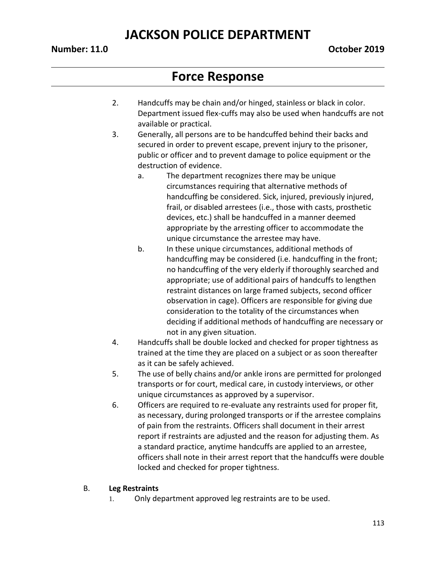#### **Number: 11.0 October 2019**

## **Force Response**

- 2. Handcuffs may be chain and/or hinged, stainless or black in color. Department issued flex-cuffs may also be used when handcuffs are not available or practical.
- 3. Generally, all persons are to be handcuffed behind their backs and secured in order to prevent escape, prevent injury to the prisoner, public or officer and to prevent damage to police equipment or the destruction of evidence.
	- a. The department recognizes there may be unique circumstances requiring that alternative methods of handcuffing be considered. Sick, injured, previously injured, frail, or disabled arrestees (i.e., those with casts, prosthetic devices, etc.) shall be handcuffed in a manner deemed appropriate by the arresting officer to accommodate the unique circumstance the arrestee may have.
	- b. In these unique circumstances, additional methods of handcuffing may be considered (i.e. handcuffing in the front; no handcuffing of the very elderly if thoroughly searched and appropriate; use of additional pairs of handcuffs to lengthen restraint distances on large framed subjects, second officer observation in cage). Officers are responsible for giving due consideration to the totality of the circumstances when deciding if additional methods of handcuffing are necessary or not in any given situation.
- 4. Handcuffs shall be double locked and checked for proper tightness as trained at the time they are placed on a subject or as soon thereafter as it can be safely achieved.
- 5. The use of belly chains and/or ankle irons are permitted for prolonged transports or for court, medical care, in custody interviews, or other unique circumstances as approved by a supervisor.
- 6. Officers are required to re-evaluate any restraints used for proper fit, as necessary, during prolonged transports or if the arrestee complains of pain from the restraints. Officers shall document in their arrest report if restraints are adjusted and the reason for adjusting them. As a standard practice, anytime handcuffs are applied to an arrestee, officers shall note in their arrest report that the handcuffs were double locked and checked for proper tightness.

#### B. **Leg Restraints**

1. Only department approved leg restraints are to be used.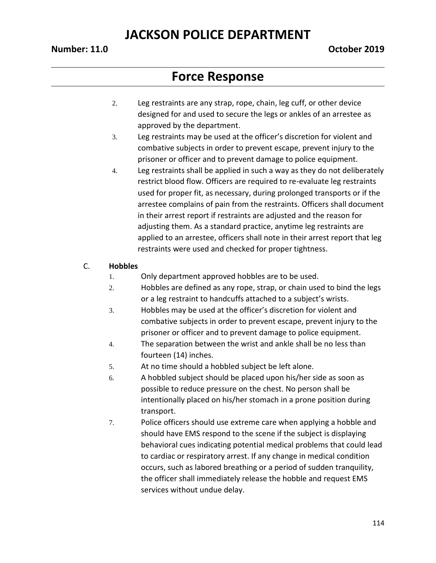#### **Number: 11.0 October 2019**

## **Force Response**

- 2. Leg restraints are any strap, rope, chain, leg cuff, or other device designed for and used to secure the legs or ankles of an arrestee as approved by the department.
- 3. Leg restraints may be used at the officer's discretion for violent and combative subjects in order to prevent escape, prevent injury to the prisoner or officer and to prevent damage to police equipment.
- 4. Leg restraints shall be applied in such a way as they do not deliberately restrict blood flow. Officers are required to re-evaluate leg restraints used for proper fit, as necessary, during prolonged transports or if the arrestee complains of pain from the restraints. Officers shall document in their arrest report if restraints are adjusted and the reason for adjusting them. As a standard practice, anytime leg restraints are applied to an arrestee, officers shall note in their arrest report that leg restraints were used and checked for proper tightness.

#### C. **Hobbles**

- 1. Only department approved hobbles are to be used.
- 2. Hobbles are defined as any rope, strap, or chain used to bind the legs or a leg restraint to handcuffs attached to a subject's wrists.
- 3. Hobbles may be used at the officer's discretion for violent and combative subjects in order to prevent escape, prevent injury to the prisoner or officer and to prevent damage to police equipment.
- 4. The separation between the wrist and ankle shall be no less than fourteen (14) inches.
- 5. At no time should a hobbled subject be left alone.
- 6. A hobbled subject should be placed upon his/her side as soon as possible to reduce pressure on the chest. No person shall be intentionally placed on his/her stomach in a prone position during transport.
- 7. Police officers should use extreme care when applying a hobble and should have EMS respond to the scene if the subject is displaying behavioral cues indicating potential medical problems that could lead to cardiac or respiratory arrest. If any change in medical condition occurs, such as labored breathing or a period of sudden tranquility, the officer shall immediately release the hobble and request EMS services without undue delay.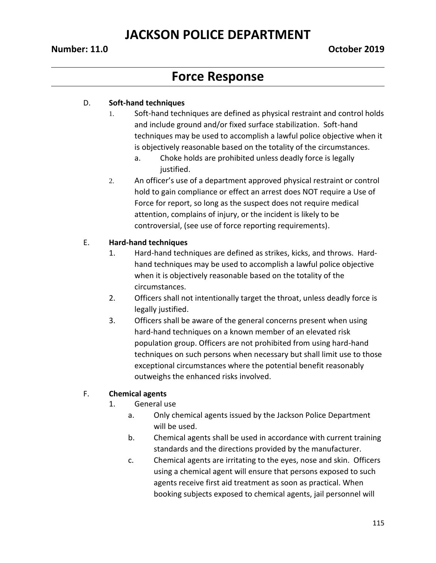#### **Number: 11.0 October 2019**

## **Force Response**

#### D. **Soft-hand techniques**

- 1. Soft-hand techniques are defined as physical restraint and control holds and include ground and/or fixed surface stabilization. Soft-hand techniques may be used to accomplish a lawful police objective when it is objectively reasonable based on the totality of the circumstances.
	- a. Choke holds are prohibited unless deadly force is legally justified.
- 2. An officer's use of a department approved physical restraint or control hold to gain compliance or effect an arrest does NOT require a Use of Force for report, so long as the suspect does not require medical attention, complains of injury, or the incident is likely to be controversial, (see use of force reporting requirements).

#### E. **Hard-hand techniques**

- 1. Hard-hand techniques are defined as strikes, kicks, and throws. Hardhand techniques may be used to accomplish a lawful police objective when it is objectively reasonable based on the totality of the circumstances.
- 2. Officers shall not intentionally target the throat, unless deadly force is legally justified.
- 3. Officers shall be aware of the general concerns present when using hard-hand techniques on a known member of an elevated risk population group. Officers are not prohibited from using hard-hand techniques on such persons when necessary but shall limit use to those exceptional circumstances where the potential benefit reasonably outweighs the enhanced risks involved.

#### F. **Chemical agents**

- 1. General use
	- a. Only chemical agents issued by the Jackson Police Department will be used.
	- b. Chemical agents shall be used in accordance with current training standards and the directions provided by the manufacturer.
	- c. Chemical agents are irritating to the eyes, nose and skin. Officers using a chemical agent will ensure that persons exposed to such agents receive first aid treatment as soon as practical. When booking subjects exposed to chemical agents, jail personnel will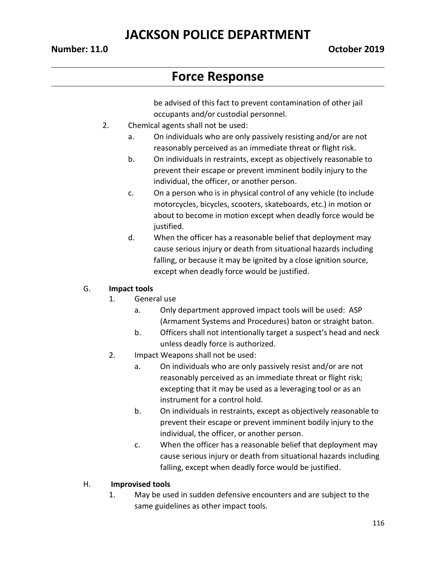# **Force Response**

be advised of this fact to prevent contamination of other jail occupants and/or custodial personnel.

- 2. Chemical agents shall not be used:
	- a. On individuals who are only passively resisting and/or are not reasonably perceived as an immediate threat or flight risk.
	- b. On individuals in restraints, except as objectively reasonable to prevent their escape or prevent imminent bodily injury to the individual, the officer, or another person.
	- c. On a person who is in physical control of any vehicle (to include motorcycles, bicycles, scooters, skateboards, etc.) in motion or about to become in motion except when deadly force would be justified.
	- d. When the officer has a reasonable belief that deployment may cause serious injury or death from situational hazards including falling, or because it may be ignited by a close ignition source, except when deadly force would be justified.

#### G. **Impact tools**

- 1. General use
	- a. Only department approved impact tools will be used: ASP (Armament Systems and Procedures) baton or straight baton.
	- b. Officers shall not intentionally target a suspect's head and neck unless deadly force is authorized.
- 2. Impact Weapons shall not be used:
	- a. On individuals who are only passively resist and/or are not reasonably perceived as an immediate threat or flight risk; excepting that it may be used as a leveraging tool or as an instrument for a control hold.
	- b. On individuals in restraints, except as objectively reasonable to prevent their escape or prevent imminent bodily injury to the individual, the officer, or another person.
	- c. When the officer has a reasonable belief that deployment may cause serious injury or death from situational hazards including falling, except when deadly force would be justified.

#### H. **Improvised tools**

1. May be used in sudden defensive encounters and are subject to the same guidelines as other impact tools.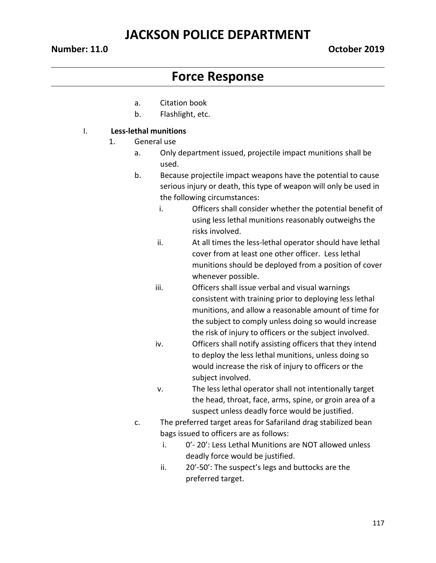# **Force Response**

- a. Citation book
- b. Flashlight, etc.

#### I. **Less-lethal munitions**

- 1. General use
	- a. Only department issued, projectile impact munitions shall be used.
	- b. Because projectile impact weapons have the potential to cause serious injury or death, this type of weapon will only be used in the following circumstances:
		- i. Officers shall consider whether the potential benefit of using less lethal munitions reasonably outweighs the risks involved.
		- ii. At all times the less-lethal operator should have lethal cover from at least one other officer. Less lethal munitions should be deployed from a position of cover whenever possible.
		- iii. Officers shall issue verbal and visual warnings consistent with training prior to deploying less lethal munitions, and allow a reasonable amount of time for the subject to comply unless doing so would increase the risk of injury to officers or the subject involved.
		- iv. Officers shall notify assisting officers that they intend to deploy the less lethal munitions, unless doing so would increase the risk of injury to officers or the subject involved.
		- v. The less lethal operator shall not intentionally target the head, throat, face, arms, spine, or groin area of a suspect unless deadly force would be justified.
	- c. The preferred target areas for Safariland drag stabilized bean bags issued to officers are as follows:
		- i. 0'- 20': Less Lethal Munitions are NOT allowed unless deadly force would be justified.
		- ii. 20'-50': The suspect's legs and buttocks are the preferred target.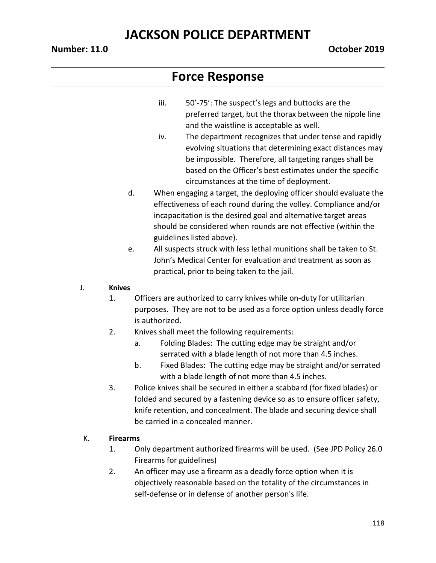- iii. 50'-75': The suspect's legs and buttocks are the preferred target, but the thorax between the nipple line and the waistline is acceptable as well.
- iv. The department recognizes that under tense and rapidly evolving situations that determining exact distances may be impossible. Therefore, all targeting ranges shall be based on the Officer's best estimates under the specific circumstances at the time of deployment.
- d. When engaging a target, the deploying officer should evaluate the effectiveness of each round during the volley. Compliance and/or incapacitation is the desired goal and alternative target areas should be considered when rounds are not effective (within the guidelines listed above).
- e. All suspects struck with less lethal munitions shall be taken to St. John's Medical Center for evaluation and treatment as soon as practical, prior to being taken to the jail.
- J. **Knives**
	- 1. Officers are authorized to carry knives while on-duty for utilitarian purposes. They are not to be used as a force option unless deadly force is authorized.
	- 2. Knives shall meet the following requirements:
		- a. Folding Blades: The cutting edge may be straight and/or serrated with a blade length of not more than 4.5 inches.
		- b. Fixed Blades: The cutting edge may be straight and/or serrated with a blade length of not more than 4.5 inches.
	- 3. Police knives shall be secured in either a scabbard (for fixed blades) or folded and secured by a fastening device so as to ensure officer safety, knife retention, and concealment. The blade and securing device shall be carried in a concealed manner.
- K. **Firearms**
	- 1. Only department authorized firearms will be used. (See JPD Policy 26.0 Firearms for guidelines)
	- 2. An officer may use a firearm as a deadly force option when it is objectively reasonable based on the totality of the circumstances in self-defense or in defense of another person's life.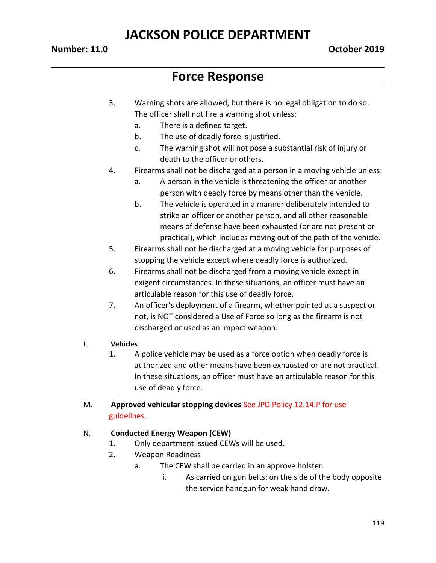#### **Number: 11.0 October 2019**

## **Force Response**

- 3. Warning shots are allowed, but there is no legal obligation to do so. The officer shall not fire a warning shot unless:
	- a. There is a defined target.
	- b. The use of deadly force is justified.
	- c. The warning shot will not pose a substantial risk of injury or death to the officer or others.
- 4. Firearms shall not be discharged at a person in a moving vehicle unless:
	- a. A person in the vehicle is threatening the officer or another person with deadly force by means other than the vehicle.
	- b. The vehicle is operated in a manner deliberately intended to strike an officer or another person, and all other reasonable means of defense have been exhausted (or are not present or practical), which includes moving out of the path of the vehicle.
- 5. Firearms shall not be discharged at a moving vehicle for purposes of stopping the vehicle except where deadly force is authorized.
- 6. Firearms shall not be discharged from a moving vehicle except in exigent circumstances. In these situations, an officer must have an articulable reason for this use of deadly force.
- 7. An officer's deployment of a firearm, whether pointed at a suspect or not, is NOT considered a Use of Force so long as the firearm is not discharged or used as an impact weapon.

#### L. **Vehicles**

1. A police vehicle may be used as a force option when deadly force is authorized and other means have been exhausted or are not practical. In these situations, an officer must have an articulable reason for this use of deadly force.

#### M. **Approved vehicular stopping devices** See JPD Policy 12.14.P for use guidelines.

#### N. **Conducted Energy Weapon (CEW)**

- 1. Only department issued CEWs will be used.
- 2. Weapon Readiness
	- a. The CEW shall be carried in an approve holster.
		- i. As carried on gun belts: on the side of the body opposite the service handgun for weak hand draw.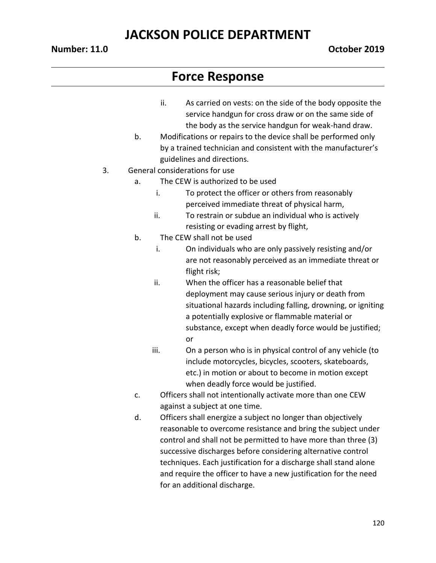#### **Number: 11.0 October 2019**

- ii. As carried on vests: on the side of the body opposite the service handgun for cross draw or on the same side of the body as the service handgun for weak-hand draw.
- b. Modifications or repairs to the device shall be performed only by a trained technician and consistent with the manufacturer's guidelines and directions.
- 3. General considerations for use
	- a. The CEW is authorized to be used
		- i. To protect the officer or others from reasonably perceived immediate threat of physical harm,
		- ii. To restrain or subdue an individual who is actively resisting or evading arrest by flight,
	- b. The CEW shall not be used
		- i. On individuals who are only passively resisting and/or are not reasonably perceived as an immediate threat or flight risk;
		- ii. When the officer has a reasonable belief that deployment may cause serious injury or death from situational hazards including falling, drowning, or igniting a potentially explosive or flammable material or substance, except when deadly force would be justified; or
		- iii. On a person who is in physical control of any vehicle (to include motorcycles, bicycles, scooters, skateboards, etc.) in motion or about to become in motion except when deadly force would be justified.
	- c. Officers shall not intentionally activate more than one CEW against a subject at one time.
	- d. Officers shall energize a subject no longer than objectively reasonable to overcome resistance and bring the subject under control and shall not be permitted to have more than three (3) successive discharges before considering alternative control techniques. Each justification for a discharge shall stand alone and require the officer to have a new justification for the need for an additional discharge.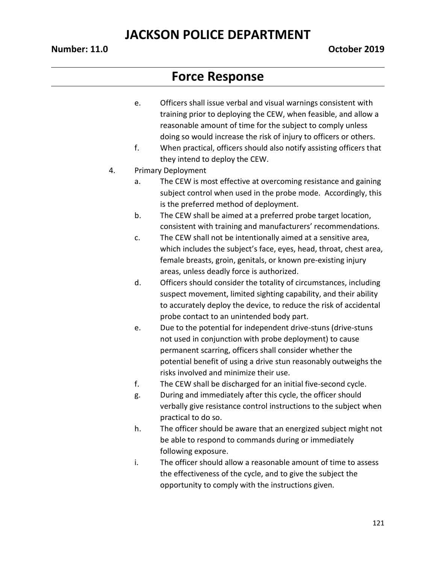#### **Number: 11.0 October 2019**

- e. Officers shall issue verbal and visual warnings consistent with training prior to deploying the CEW, when feasible, and allow a reasonable amount of time for the subject to comply unless doing so would increase the risk of injury to officers or others.
- f. When practical, officers should also notify assisting officers that they intend to deploy the CEW.
- 4. Primary Deployment
	- a. The CEW is most effective at overcoming resistance and gaining subject control when used in the probe mode. Accordingly, this is the preferred method of deployment.
	- b. The CEW shall be aimed at a preferred probe target location, consistent with training and manufacturers' recommendations.
	- c. The CEW shall not be intentionally aimed at a sensitive area, which includes the subject's face, eyes, head, throat, chest area, female breasts, groin, genitals, or known pre-existing injury areas, unless deadly force is authorized.
	- d. Officers should consider the totality of circumstances, including suspect movement, limited sighting capability, and their ability to accurately deploy the device, to reduce the risk of accidental probe contact to an unintended body part.
	- e. Due to the potential for independent drive-stuns (drive-stuns not used in conjunction with probe deployment) to cause permanent scarring, officers shall consider whether the potential benefit of using a drive stun reasonably outweighs the risks involved and minimize their use.
	- f. The CEW shall be discharged for an initial five-second cycle.
	- g. During and immediately after this cycle, the officer should verbally give resistance control instructions to the subject when practical to do so.
	- h. The officer should be aware that an energized subject might not be able to respond to commands during or immediately following exposure.
	- i. The officer should allow a reasonable amount of time to assess the effectiveness of the cycle, and to give the subject the opportunity to comply with the instructions given.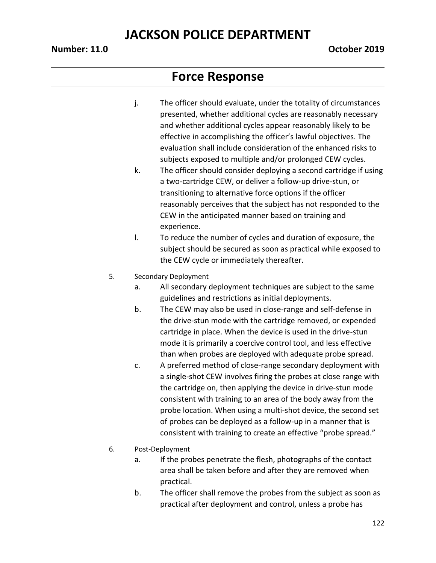#### **Number: 11.0 October 2019**

- j. The officer should evaluate, under the totality of circumstances presented, whether additional cycles are reasonably necessary and whether additional cycles appear reasonably likely to be effective in accomplishing the officer's lawful objectives. The evaluation shall include consideration of the enhanced risks to subjects exposed to multiple and/or prolonged CEW cycles.
- k. The officer should consider deploying a second cartridge if using a two-cartridge CEW, or deliver a follow-up drive-stun, or transitioning to alternative force options if the officer reasonably perceives that the subject has not responded to the CEW in the anticipated manner based on training and experience.
- l. To reduce the number of cycles and duration of exposure, the subject should be secured as soon as practical while exposed to the CEW cycle or immediately thereafter.
- 5. Secondary Deployment
	- a. All secondary deployment techniques are subject to the same guidelines and restrictions as initial deployments.
	- b. The CEW may also be used in close-range and self-defense in the drive-stun mode with the cartridge removed, or expended cartridge in place. When the device is used in the drive-stun mode it is primarily a coercive control tool, and less effective than when probes are deployed with adequate probe spread.
	- c. A preferred method of close-range secondary deployment with a single-shot CEW involves firing the probes at close range with the cartridge on, then applying the device in drive-stun mode consistent with training to an area of the body away from the probe location. When using a multi-shot device, the second set of probes can be deployed as a follow-up in a manner that is consistent with training to create an effective "probe spread."
- 6. Post-Deployment
	- a. If the probes penetrate the flesh, photographs of the contact area shall be taken before and after they are removed when practical.
	- b. The officer shall remove the probes from the subject as soon as practical after deployment and control, unless a probe has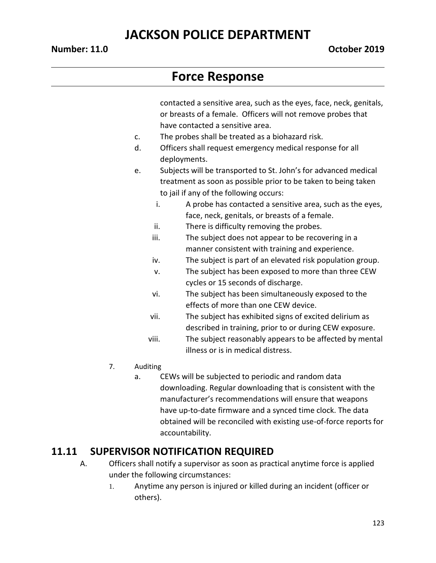# **Force Response**

contacted a sensitive area, such as the eyes, face, neck, genitals, or breasts of a female. Officers will not remove probes that have contacted a sensitive area.

- c. The probes shall be treated as a biohazard risk.
- d. Officers shall request emergency medical response for all deployments.
- e. Subjects will be transported to St. John's for advanced medical treatment as soon as possible prior to be taken to being taken to jail if any of the following occurs:
	- i. A probe has contacted a sensitive area, such as the eyes, face, neck, genitals, or breasts of a female.
	- ii. There is difficulty removing the probes.
	- iii. The subject does not appear to be recovering in a manner consistent with training and experience.
	- iv. The subject is part of an elevated risk population group.
	- v. The subject has been exposed to more than three CEW cycles or 15 seconds of discharge.
	- vi. The subject has been simultaneously exposed to the effects of more than one CEW device.
	- vii. The subject has exhibited signs of excited delirium as described in training, prior to or during CEW exposure.
	- viii. The subject reasonably appears to be affected by mental illness or is in medical distress.
- 7. Auditing
	- a. CEWs will be subjected to periodic and random data downloading. Regular downloading that is consistent with the manufacturer's recommendations will ensure that weapons have up-to-date firmware and a synced time clock. The data obtained will be reconciled with existing use-of-force reports for accountability.

### **11.11 SUPERVISOR NOTIFICATION REQUIRED**

- A. Officers shall notify a supervisor as soon as practical anytime force is applied under the following circumstances:
	- 1. Anytime any person is injured or killed during an incident (officer or others).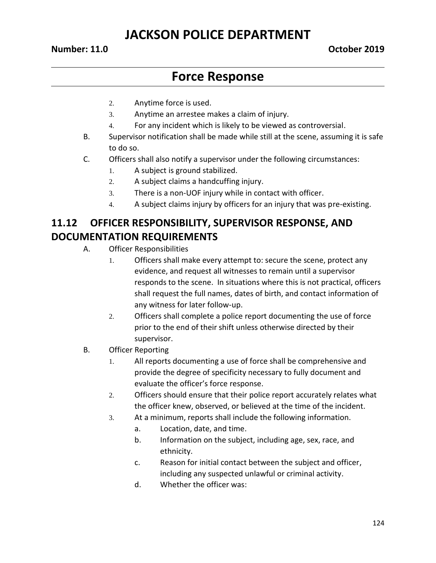#### **Number: 11.0 October 2019**

## **Force Response**

- 2. Anytime force is used.
- 3. Anytime an arrestee makes a claim of injury.
- 4. For any incident which is likely to be viewed as controversial.
- B. Supervisor notification shall be made while still at the scene, assuming it is safe to do so.
- C. Officers shall also notify a supervisor under the following circumstances:
	- 1. A subject is ground stabilized.
	- 2. A subject claims a handcuffing injury.
	- 3. There is a non-UOF injury while in contact with officer.
	- 4. A subject claims injury by officers for an injury that was pre-existing.

### **11.12 OFFICER RESPONSIBILITY, SUPERVISOR RESPONSE, AND DOCUMENTATION REQUIREMENTS**

- A. Officer Responsibilities
	- 1. Officers shall make every attempt to: secure the scene, protect any evidence, and request all witnesses to remain until a supervisor responds to the scene. In situations where this is not practical, officers shall request the full names, dates of birth, and contact information of any witness for later follow-up.
	- 2. Officers shall complete a police report documenting the use of force prior to the end of their shift unless otherwise directed by their supervisor.
- B. Officer Reporting
	- 1. All reports documenting a use of force shall be comprehensive and provide the degree of specificity necessary to fully document and evaluate the officer's force response.
	- 2. Officers should ensure that their police report accurately relates what the officer knew, observed, or believed at the time of the incident.
	- 3. At a minimum, reports shall include the following information.
		- a. Location, date, and time.
		- b. Information on the subject, including age, sex, race, and ethnicity.
		- c. Reason for initial contact between the subject and officer, including any suspected unlawful or criminal activity.
		- d. Whether the officer was: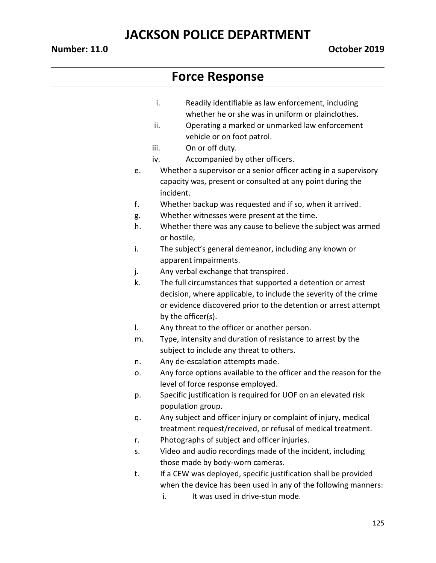- i. Readily identifiable as law enforcement, including whether he or she was in uniform or plainclothes.
- ii. Operating a marked or unmarked law enforcement vehicle or on foot patrol.
- iii. On or off duty.
- iv. Accompanied by other officers.
- e. Whether a supervisor or a senior officer acting in a supervisory capacity was, present or consulted at any point during the incident.
- f. Whether backup was requested and if so, when it arrived.
- g. Whether witnesses were present at the time.
- h. Whether there was any cause to believe the subject was armed or hostile,
- i. The subject's general demeanor, including any known or apparent impairments.
- j. Any verbal exchange that transpired.
- k. The full circumstances that supported a detention or arrest decision, where applicable, to include the severity of the crime or evidence discovered prior to the detention or arrest attempt by the officer(s).
- l. Any threat to the officer or another person.
- m. Type, intensity and duration of resistance to arrest by the subject to include any threat to others.
- n. Any de-escalation attempts made.
- o. Any force options available to the officer and the reason for the level of force response employed.
- p. Specific justification is required for UOF on an elevated risk population group.
- q. Any subject and officer injury or complaint of injury, medical treatment request/received, or refusal of medical treatment.
- r. Photographs of subject and officer injuries.
- s. Video and audio recordings made of the incident, including those made by body-worn cameras.
- t. If a CEW was deployed, specific justification shall be provided when the device has been used in any of the following manners:
	- i. It was used in drive-stun mode.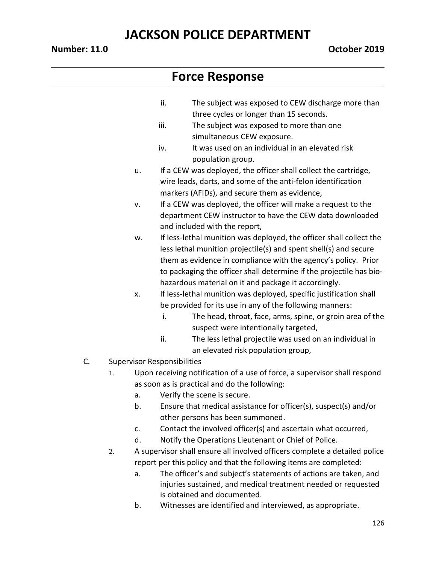#### **Number: 11.0 October 2019**

- ii. The subject was exposed to CEW discharge more than three cycles or longer than 15 seconds.
- iii. The subject was exposed to more than one simultaneous CEW exposure.
- iv. It was used on an individual in an elevated risk population group.
- u. If a CEW was deployed, the officer shall collect the cartridge, wire leads, darts, and some of the anti-felon identification markers (AFIDs), and secure them as evidence,
- v. If a CEW was deployed, the officer will make a request to the department CEW instructor to have the CEW data downloaded and included with the report,
- w. If less-lethal munition was deployed, the officer shall collect the less lethal munition projectile(s) and spent shell(s) and secure them as evidence in compliance with the agency's policy. Prior to packaging the officer shall determine if the projectile has biohazardous material on it and package it accordingly.
- x. If less-lethal munition was deployed, specific justification shall be provided for its use in any of the following manners:
	- i. The head, throat, face, arms, spine, or groin area of the suspect were intentionally targeted,
	- ii. The less lethal projectile was used on an individual in an elevated risk population group,
- C. Supervisor Responsibilities
	- 1. Upon receiving notification of a use of force, a supervisor shall respond as soon as is practical and do the following:
		- a. Verify the scene is secure.
		- b. Ensure that medical assistance for officer(s), suspect(s) and/or other persons has been summoned.
		- c. Contact the involved officer(s) and ascertain what occurred,
		- d. Notify the Operations Lieutenant or Chief of Police.
	- 2. A supervisor shall ensure all involved officers complete a detailed police report per this policy and that the following items are completed:
		- a. The officer's and subject's statements of actions are taken, and injuries sustained, and medical treatment needed or requested is obtained and documented.
		- b. Witnesses are identified and interviewed, as appropriate.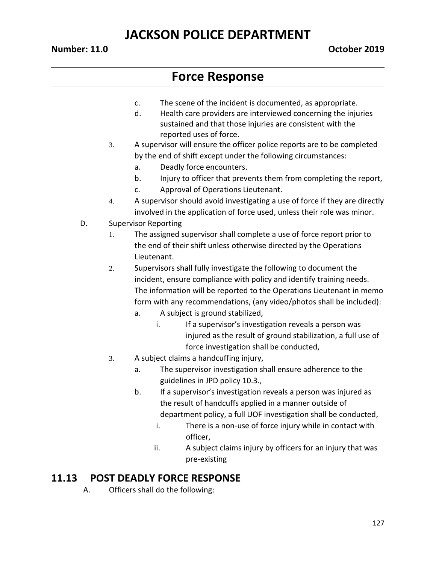## **Force Response**

- c. The scene of the incident is documented, as appropriate.
- d. Health care providers are interviewed concerning the injuries sustained and that those injuries are consistent with the reported uses of force.
- 3. A supervisor will ensure the officer police reports are to be completed by the end of shift except under the following circumstances:
	- a. Deadly force encounters.
	- b. Injury to officer that prevents them from completing the report,
	- c. Approval of Operations Lieutenant.
- 4. A supervisor should avoid investigating a use of force if they are directly involved in the application of force used, unless their role was minor.
- D. Supervisor Reporting
	- 1. The assigned supervisor shall complete a use of force report prior to the end of their shift unless otherwise directed by the Operations Lieutenant.
	- 2. Supervisors shall fully investigate the following to document the incident, ensure compliance with policy and identify training needs. The information will be reported to the Operations Lieutenant in memo form with any recommendations, (any video/photos shall be included):
		- a. A subject is ground stabilized,
			- i. If a supervisor's investigation reveals a person was injured as the result of ground stabilization, a full use of force investigation shall be conducted,
	- 3. A subject claims a handcuffing injury,
		- a. The supervisor investigation shall ensure adherence to the guidelines in JPD policy 10.3.,
		- b. If a supervisor's investigation reveals a person was injured as the result of handcuffs applied in a manner outside of department policy, a full UOF investigation shall be conducted,
			- i. There is a non-use of force injury while in contact with officer,
			- ii. A subject claims injury by officers for an injury that was pre-existing

### **11.13 POST DEADLY FORCE RESPONSE**

A. Officers shall do the following: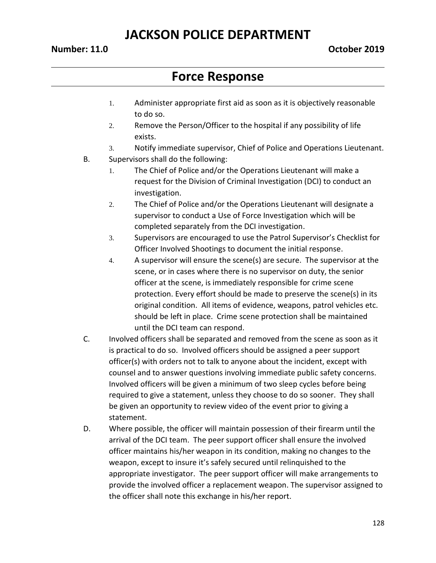#### **Number: 11.0 October 2019**

- 1. Administer appropriate first aid as soon as it is objectively reasonable to do so.
- 2. Remove the Person/Officer to the hospital if any possibility of life exists.
- 3. Notify immediate supervisor, Chief of Police and Operations Lieutenant.
- B. Supervisors shall do the following:
	- 1. The Chief of Police and/or the Operations Lieutenant will make a request for the Division of Criminal Investigation (DCI) to conduct an investigation.
	- 2. The Chief of Police and/or the Operations Lieutenant will designate a supervisor to conduct a Use of Force Investigation which will be completed separately from the DCI investigation.
	- 3. Supervisors are encouraged to use the Patrol Supervisor's Checklist for Officer Involved Shootings to document the initial response.
	- 4. A supervisor will ensure the scene(s) are secure. The supervisor at the scene, or in cases where there is no supervisor on duty, the senior officer at the scene, is immediately responsible for crime scene protection. Every effort should be made to preserve the scene(s) in its original condition. All items of evidence, weapons, patrol vehicles etc. should be left in place. Crime scene protection shall be maintained until the DCI team can respond.
- C. Involved officers shall be separated and removed from the scene as soon as it is practical to do so. Involved officers should be assigned a peer support officer(s) with orders not to talk to anyone about the incident, except with counsel and to answer questions involving immediate public safety concerns. Involved officers will be given a minimum of two sleep cycles before being required to give a statement, unless they choose to do so sooner. They shall be given an opportunity to review video of the event prior to giving a statement.
- D. Where possible, the officer will maintain possession of their firearm until the arrival of the DCI team. The peer support officer shall ensure the involved officer maintains his/her weapon in its condition, making no changes to the weapon, except to insure it's safely secured until relinquished to the appropriate investigator. The peer support officer will make arrangements to provide the involved officer a replacement weapon. The supervisor assigned to the officer shall note this exchange in his/her report.